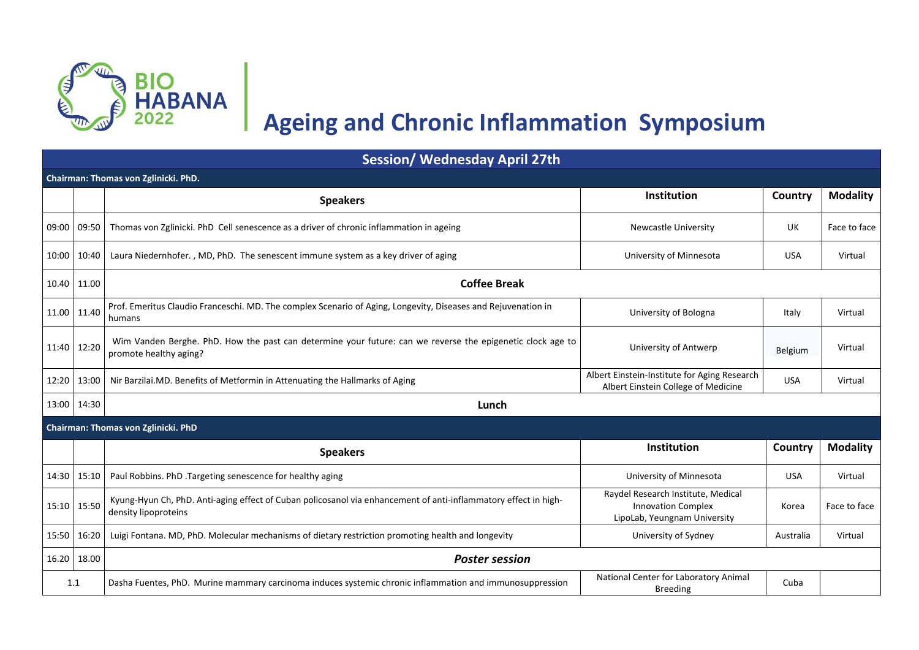

## **Ageing and Chronic Inflammation Symposium**

| <b>Session/ Wednesday April 27th</b> |                                                                                                                                         |                                                                                                 |            |                 |  |
|--------------------------------------|-----------------------------------------------------------------------------------------------------------------------------------------|-------------------------------------------------------------------------------------------------|------------|-----------------|--|
| Chairman: Thomas von Zglinicki. PhD. |                                                                                                                                         |                                                                                                 |            |                 |  |
|                                      | <b>Speakers</b>                                                                                                                         | Institution                                                                                     | Country    | <b>Modality</b> |  |
| 09:00 09:50                          | Thomas von Zglinicki. PhD Cell senescence as a driver of chronic inflammation in ageing                                                 | <b>Newcastle University</b>                                                                     | UK         | Face to face    |  |
| 10:00 10:40                          | Laura Niedernhofer., MD, PhD. The senescent immune system as a key driver of aging                                                      | University of Minnesota                                                                         | <b>USA</b> | Virtual         |  |
| 10.40 11.00                          | <b>Coffee Break</b>                                                                                                                     |                                                                                                 |            |                 |  |
| 11.00 11.40                          | Prof. Emeritus Claudio Franceschi. MD. The complex Scenario of Aging, Longevity, Diseases and Rejuvenation in<br>humans                 | University of Bologna                                                                           | Italy      | Virtual         |  |
| 11:40 12:20                          | Wim Vanden Berghe. PhD. How the past can determine your future: can we reverse the epigenetic clock age to<br>promote healthy aging?    | University of Antwerp                                                                           | Belgium    | Virtual         |  |
| 12:20 13:00                          | Nir Barzilai.MD. Benefits of Metformin in Attenuating the Hallmarks of Aging                                                            | Albert Einstein-Institute for Aging Research<br>Albert Einstein College of Medicine             | <b>USA</b> | Virtual         |  |
| 13:00 14:30                          | Lunch                                                                                                                                   |                                                                                                 |            |                 |  |
|                                      | Chairman: Thomas von Zglinicki. PhD                                                                                                     |                                                                                                 |            |                 |  |
|                                      | <b>Speakers</b>                                                                                                                         | Institution                                                                                     | Country    | <b>Modality</b> |  |
| 14:30 15:10                          | Paul Robbins. PhD .Targeting senescence for healthy aging                                                                               | University of Minnesota                                                                         | <b>USA</b> | Virtual         |  |
| 15:10 15:50                          | Kyung-Hyun Ch, PhD. Anti-aging effect of Cuban policosanol via enhancement of anti-inflammatory effect in high-<br>density lipoproteins | Raydel Research Institute, Medical<br><b>Innovation Complex</b><br>LipoLab, Yeungnam University | Korea      | Face to face    |  |
| 15:50 16:20                          | Luigi Fontana. MD, PhD. Molecular mechanisms of dietary restriction promoting health and longevity                                      | University of Sydney                                                                            | Australia  | Virtual         |  |
| 16.20 18.00                          | <b>Poster session</b>                                                                                                                   |                                                                                                 |            |                 |  |
| 1.1                                  | Dasha Fuentes, PhD. Murine mammary carcinoma induces systemic chronic inflammation and immunosuppression                                | National Center for Laboratory Animal<br><b>Breeding</b>                                        | Cuba       |                 |  |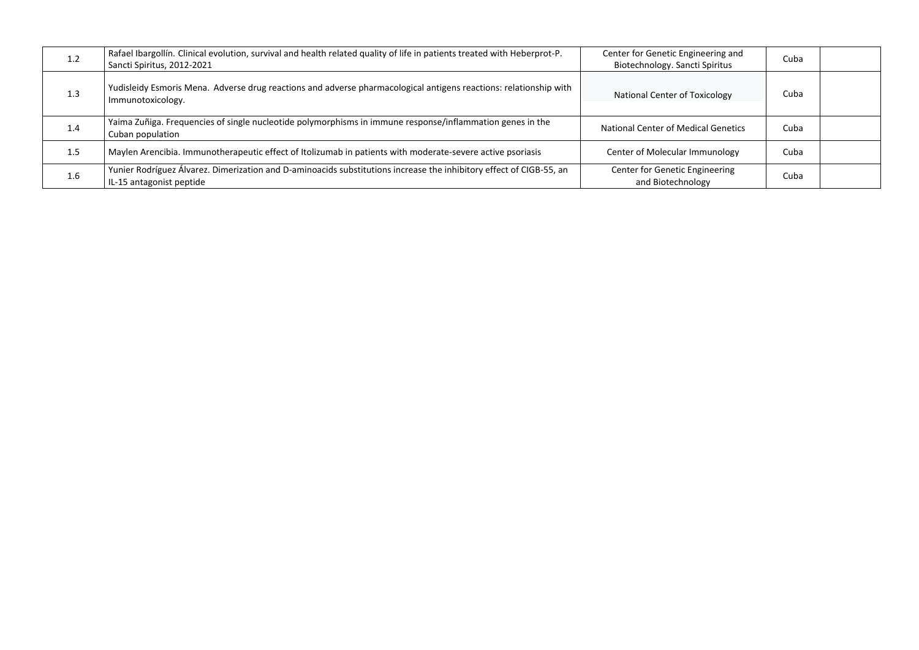| 1.2 | Rafael Ibargollín. Clinical evolution, survival and health related quality of life in patients treated with Heberprot-P.<br>Sancti Spiritus, 2012-2021 | Center for Genetic Engineering and<br>Biotechnology. Sancti Spiritus | Cuba |  |
|-----|--------------------------------------------------------------------------------------------------------------------------------------------------------|----------------------------------------------------------------------|------|--|
| 1.3 | Yudisleidy Esmoris Mena. Adverse drug reactions and adverse pharmacological antigens reactions: relationship with<br>Immunotoxicology.                 | National Center of Toxicology                                        | Cuba |  |
| 1.4 | Yaima Zuñiga. Frequencies of single nucleotide polymorphisms in immune response/inflammation genes in the<br>Cuban population                          | <b>National Center of Medical Genetics</b>                           | Cuba |  |
| 1.5 | Maylen Arencibia. Immunotherapeutic effect of Itolizumab in patients with moderate-severe active psoriasis                                             | Center of Molecular Immunology                                       | Cuba |  |
| 1.6 | Yunier Rodríguez Álvarez. Dimerization and D-aminoacids substitutions increase the inhibitory effect of CIGB-55, an<br>IL-15 antagonist peptide        | Center for Genetic Engineering<br>and Biotechnology                  | Cuba |  |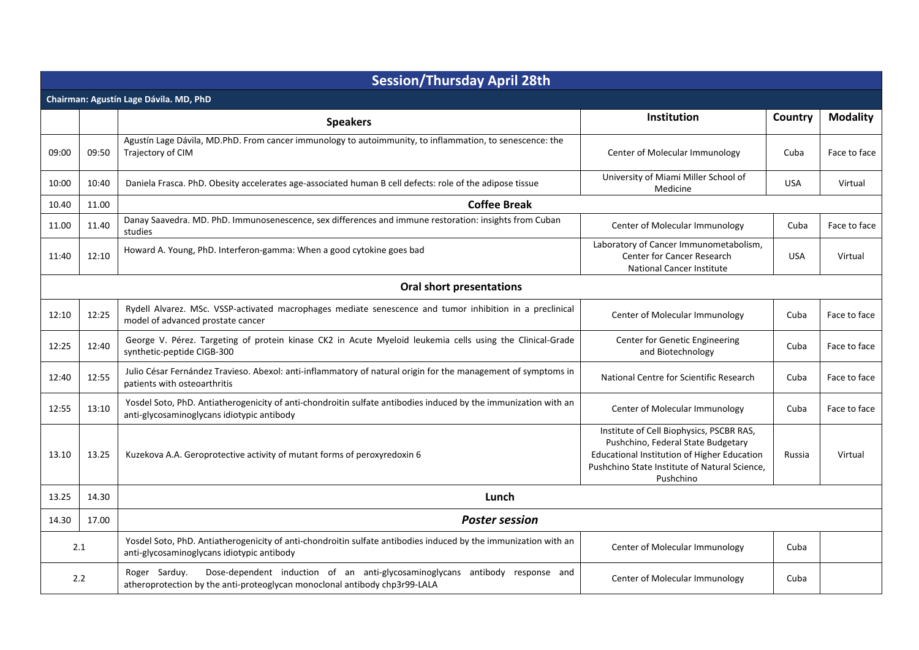| <b>Session/Thursday April 28th</b>     |       |                                                                                                                                                                             |                                                                                                                                                                                             |            |                 |
|----------------------------------------|-------|-----------------------------------------------------------------------------------------------------------------------------------------------------------------------------|---------------------------------------------------------------------------------------------------------------------------------------------------------------------------------------------|------------|-----------------|
| Chairman: Agustín Lage Dávila. MD, PhD |       |                                                                                                                                                                             |                                                                                                                                                                                             |            |                 |
|                                        |       | <b>Speakers</b>                                                                                                                                                             | <b>Institution</b>                                                                                                                                                                          | Country    | <b>Modality</b> |
| 09:00                                  | 09:50 | Agustín Lage Dávila, MD.PhD. From cancer immunology to autoimmunity, to inflammation, to senescence: the<br>Trajectory of CIM                                               | Center of Molecular Immunology                                                                                                                                                              | Cuba       | Face to face    |
| 10:00                                  | 10:40 | Daniela Frasca. PhD. Obesity accelerates age-associated human B cell defects: role of the adipose tissue                                                                    | University of Miami Miller School of<br>Medicine                                                                                                                                            | <b>USA</b> | Virtual         |
| 10.40                                  | 11.00 | <b>Coffee Break</b>                                                                                                                                                         |                                                                                                                                                                                             |            |                 |
| 11.00                                  | 11.40 | Danay Saavedra. MD. PhD. Immunosenescence, sex differences and immune restoration: insights from Cuban<br>studies                                                           | Center of Molecular Immunology                                                                                                                                                              | Cuba       | Face to face    |
| 11:40                                  | 12:10 | Howard A. Young, PhD. Interferon-gamma: When a good cytokine goes bad                                                                                                       | Laboratory of Cancer Immunometabolism,<br><b>Center for Cancer Research</b><br><b>National Cancer Institute</b>                                                                             | <b>USA</b> | Virtual         |
|                                        |       | <b>Oral short presentations</b>                                                                                                                                             |                                                                                                                                                                                             |            |                 |
| 12:10                                  | 12:25 | Rydell Alvarez. MSc. VSSP-activated macrophages mediate senescence and tumor inhibition in a preclinical<br>model of advanced prostate cancer                               | Center of Molecular Immunology                                                                                                                                                              | Cuba       | Face to face    |
| 12:25                                  | 12:40 | George V. Pérez. Targeting of protein kinase CK2 in Acute Myeloid leukemia cells using the Clinical-Grade<br>synthetic-peptide CIGB-300                                     | Center for Genetic Engineering<br>and Biotechnology                                                                                                                                         | Cuba       | Face to face    |
| 12:40                                  | 12:55 | Julio César Fernández Travieso. Abexol: anti-inflammatory of natural origin for the management of symptoms in<br>patients with osteoarthritis                               | National Centre for Scientific Research                                                                                                                                                     | Cuba       | Face to face    |
| 12:55                                  | 13:10 | Yosdel Soto, PhD. Antiatherogenicity of anti-chondroitin sulfate antibodies induced by the immunization with an<br>anti-glycosaminoglycans idiotypic antibody               | Center of Molecular Immunology                                                                                                                                                              | Cuba       | Face to face    |
| 13.10                                  | 13.25 | Kuzekova A.A. Geroprotective activity of mutant forms of peroxyredoxin 6                                                                                                    | Institute of Cell Biophysics, PSCBR RAS,<br>Pushchino, Federal State Budgetary<br>Educational Institution of Higher Education<br>Pushchino State Institute of Natural Science,<br>Pushchino | Russia     | Virtual         |
| 13.25                                  | 14.30 | Lunch                                                                                                                                                                       |                                                                                                                                                                                             |            |                 |
| 14.30                                  | 17.00 | <b>Poster session</b>                                                                                                                                                       |                                                                                                                                                                                             |            |                 |
| 2.1                                    |       | Yosdel Soto, PhD. Antiatherogenicity of anti-chondroitin sulfate antibodies induced by the immunization with an<br>anti-glycosaminoglycans idiotypic antibody               | Center of Molecular Immunology                                                                                                                                                              | Cuba       |                 |
| 2.2                                    |       | Dose-dependent induction of an anti-glycosaminoglycans antibody response and<br>Roger Sarduy.<br>atheroprotection by the anti-proteoglycan monoclonal antibody chp3r99-LALA | Center of Molecular Immunology                                                                                                                                                              | Cuba       |                 |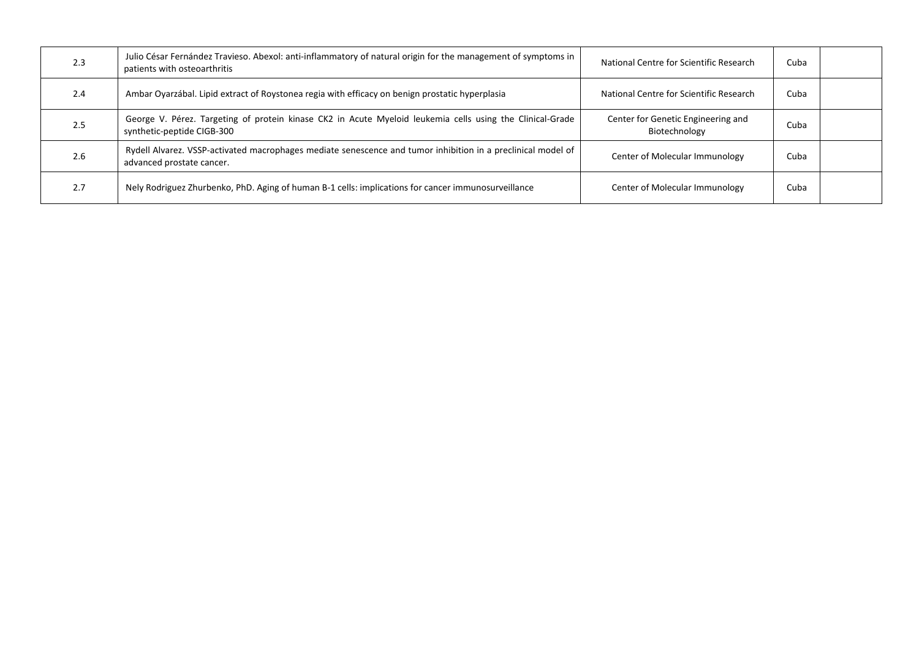| 2.3 | Julio César Fernández Travieso. Abexol: anti-inflammatory of natural origin for the management of symptoms in<br>patients with osteoarthritis | National Centre for Scientific Research             | Cuba |  |
|-----|-----------------------------------------------------------------------------------------------------------------------------------------------|-----------------------------------------------------|------|--|
| 2.4 | Ambar Oyarzábal. Lipid extract of Roystonea regia with efficacy on benign prostatic hyperplasia                                               | National Centre for Scientific Research             | Cuba |  |
| 2.5 | George V. Pérez. Targeting of protein kinase CK2 in Acute Myeloid leukemia cells using the Clinical-Grade<br>synthetic-peptide CIGB-300       | Center for Genetic Engineering and<br>Biotechnology | Cuba |  |
| 2.6 | Rydell Alvarez. VSSP-activated macrophages mediate senescence and tumor inhibition in a preclinical model of<br>advanced prostate cancer.     | Center of Molecular Immunology                      | Cuba |  |
| 2.7 | Nely Rodriguez Zhurbenko, PhD. Aging of human B-1 cells: implications for cancer immunosurveillance                                           | Center of Molecular Immunology                      | Cuba |  |